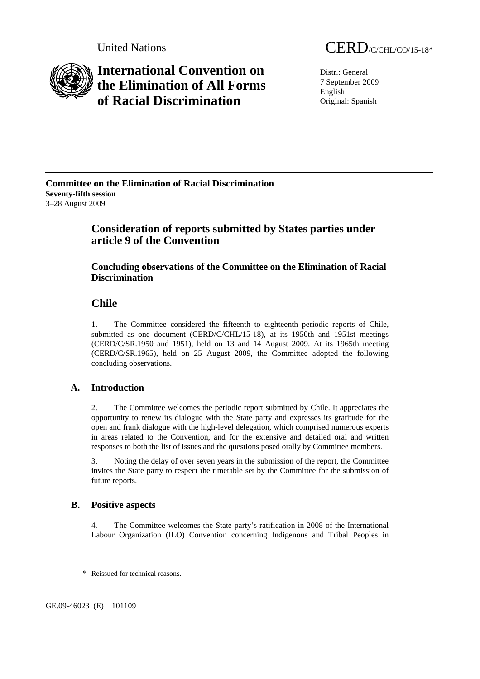

# **International Convention on the Elimination of All Forms of Racial Discrimination**

Distr.: General 7 September 2009 English Original: Spanish

#### **Committee on the Elimination of Racial Discrimination Seventy-fifth session**  3–28 August 2009

# **Consideration of reports submitted by States parties under article 9 of the Convention**

### **Concluding observations of the Committee on the Elimination of Racial Discrimination**

## **Chile**

1. The Committee considered the fifteenth to eighteenth periodic reports of Chile, submitted as one document (CERD/C/CHL/15-18), at its 1950th and 1951st meetings (CERD/C/SR.1950 and 1951), held on 13 and 14 August 2009. At its 1965th meeting (CERD/C/SR.1965), held on 25 August 2009, the Committee adopted the following concluding observations.

### **A. Introduction**

2. The Committee welcomes the periodic report submitted by Chile. It appreciates the opportunity to renew its dialogue with the State party and expresses its gratitude for the open and frank dialogue with the high-level delegation, which comprised numerous experts in areas related to the Convention, and for the extensive and detailed oral and written responses to both the list of issues and the questions posed orally by Committee members.

3. Noting the delay of over seven years in the submission of the report, the Committee invites the State party to respect the timetable set by the Committee for the submission of future reports.

### **B. Positive aspects**

4. The Committee welcomes the State party's ratification in 2008 of the International Labour Organization (ILO) Convention concerning Indigenous and Tribal Peoples in

GE.09-46023 (E) 101109

<sup>\*</sup> Reissued for technical reasons.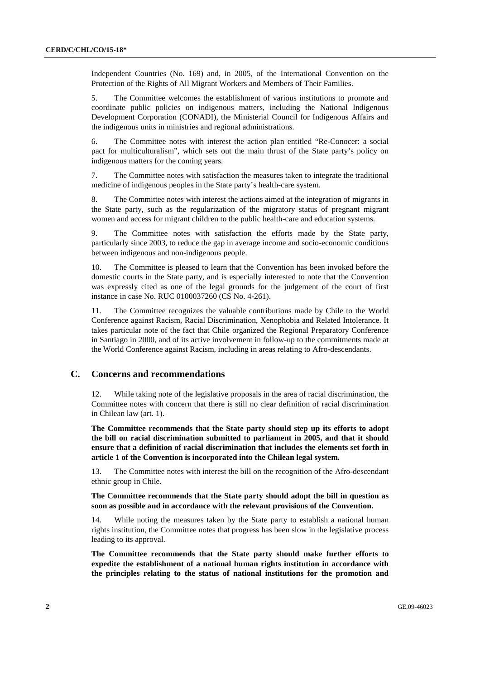Independent Countries (No. 169) and, in 2005, of the International Convention on the Protection of the Rights of All Migrant Workers and Members of Their Families.

5. The Committee welcomes the establishment of various institutions to promote and coordinate public policies on indigenous matters, including the National Indigenous Development Corporation (CONADI), the Ministerial Council for Indigenous Affairs and the indigenous units in ministries and regional administrations.

6. The Committee notes with interest the action plan entitled "Re-Conocer: a social pact for multiculturalism", which sets out the main thrust of the State party's policy on indigenous matters for the coming years.

7. The Committee notes with satisfaction the measures taken to integrate the traditional medicine of indigenous peoples in the State party's health-care system.

8. The Committee notes with interest the actions aimed at the integration of migrants in the State party, such as the regularization of the migratory status of pregnant migrant women and access for migrant children to the public health-care and education systems.

9. The Committee notes with satisfaction the efforts made by the State party, particularly since 2003, to reduce the gap in average income and socio-economic conditions between indigenous and non-indigenous people.

10. The Committee is pleased to learn that the Convention has been invoked before the domestic courts in the State party, and is especially interested to note that the Convention was expressly cited as one of the legal grounds for the judgement of the court of first instance in case No. RUC 0100037260 (CS No. 4-261).

11. The Committee recognizes the valuable contributions made by Chile to the World Conference against Racism, Racial Discrimination, Xenophobia and Related Intolerance. It takes particular note of the fact that Chile organized the Regional Preparatory Conference in Santiago in 2000, and of its active involvement in follow-up to the commitments made at the World Conference against Racism, including in areas relating to Afro-descendants.

#### **C. Concerns and recommendations**

12. While taking note of the legislative proposals in the area of racial discrimination, the Committee notes with concern that there is still no clear definition of racial discrimination in Chilean law (art. 1).

**The Committee recommends that the State party should step up its efforts to adopt the bill on racial discrimination submitted to parliament in 2005, and that it should ensure that a definition of racial discrimination that includes the elements set forth in article 1 of the Convention is incorporated into the Chilean legal system.** 

13. The Committee notes with interest the bill on the recognition of the Afro-descendant ethnic group in Chile.

**The Committee recommends that the State party should adopt the bill in question as soon as possible and in accordance with the relevant provisions of the Convention.**

14. While noting the measures taken by the State party to establish a national human rights institution, the Committee notes that progress has been slow in the legislative process leading to its approval.

**The Committee recommends that the State party should make further efforts to expedite the establishment of a national human rights institution in accordance with the principles relating to the status of national institutions for the promotion and**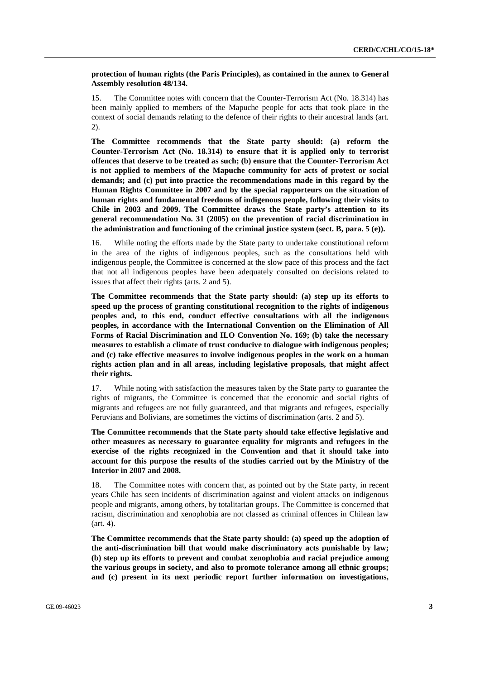#### **protection of human rights (the Paris Principles), as contained in the annex to General Assembly resolution 48/134.**

15. The Committee notes with concern that the Counter-Terrorism Act (No. 18.314) has been mainly applied to members of the Mapuche people for acts that took place in the context of social demands relating to the defence of their rights to their ancestral lands (art. 2).

**The Committee recommends that the State party should: (a) reform the Counter-Terrorism Act (No. 18.314) to ensure that it is applied only to terrorist offences that deserve to be treated as such; (b) ensure that the Counter-Terrorism Act is not applied to members of the Mapuche community for acts of protest or social demands; and (c) put into practice the recommendations made in this regard by the Human Rights Committee in 2007 and by the special rapporteurs on the situation of human rights and fundamental freedoms of indigenous people, following their visits to Chile in 2003 and 2009. The Committee draws the State party's attention to its general recommendation No. 31 (2005) on the prevention of racial discrimination in the administration and functioning of the criminal justice system (sect. B, para. 5 (e)).** 

16. While noting the efforts made by the State party to undertake constitutional reform in the area of the rights of indigenous peoples, such as the consultations held with indigenous people, the Committee is concerned at the slow pace of this process and the fact that not all indigenous peoples have been adequately consulted on decisions related to issues that affect their rights (arts. 2 and 5).

**The Committee recommends that the State party should: (a) step up its efforts to speed up the process of granting constitutional recognition to the rights of indigenous peoples and, to this end, conduct effective consultations with all the indigenous peoples, in accordance with the International Convention on the Elimination of All Forms of Racial Discrimination and ILO Convention No. 169; (b) take the necessary measures to establish a climate of trust conducive to dialogue with indigenous peoples; and (c) take effective measures to involve indigenous peoples in the work on a human rights action plan and in all areas, including legislative proposals, that might affect their rights.** 

17. While noting with satisfaction the measures taken by the State party to guarantee the rights of migrants, the Committee is concerned that the economic and social rights of migrants and refugees are not fully guaranteed, and that migrants and refugees, especially Peruvians and Bolivians, are sometimes the victims of discrimination (arts. 2 and 5).

**The Committee recommends that the State party should take effective legislative and other measures as necessary to guarantee equality for migrants and refugees in the exercise of the rights recognized in the Convention and that it should take into account for this purpose the results of the studies carried out by the Ministry of the Interior in 2007 and 2008.** 

18. The Committee notes with concern that, as pointed out by the State party, in recent years Chile has seen incidents of discrimination against and violent attacks on indigenous people and migrants, among others, by totalitarian groups. The Committee is concerned that racism, discrimination and xenophobia are not classed as criminal offences in Chilean law (art. 4).

**The Committee recommends that the State party should: (a) speed up the adoption of the anti-discrimination bill that would make discriminatory acts punishable by law; (b) step up its efforts to prevent and combat xenophobia and racial prejudice among the various groups in society, and also to promote tolerance among all ethnic groups; and (c) present in its next periodic report further information on investigations,**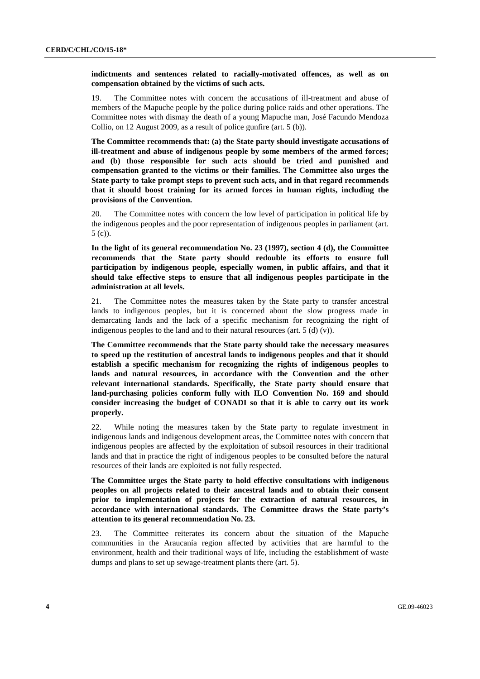#### **indictments and sentences related to racially-motivated offences, as well as on compensation obtained by the victims of such acts.**

19. The Committee notes with concern the accusations of ill-treatment and abuse of members of the Mapuche people by the police during police raids and other operations. The Committee notes with dismay the death of a young Mapuche man, José Facundo Mendoza Collio, on 12 August 2009, as a result of police gunfire (art. 5 (b)).

**The Committee recommends that: (a) the State party should investigate accusations of ill-treatment and abuse of indigenous people by some members of the armed forces; and (b) those responsible for such acts should be tried and punished and compensation granted to the victims or their families. The Committee also urges the State party to take prompt steps to prevent such acts, and in that regard recommends that it should boost training for its armed forces in human rights, including the provisions of the Convention.** 

20. The Committee notes with concern the low level of participation in political life by the indigenous peoples and the poor representation of indigenous peoples in parliament (art. 5 (c)).

**In the light of its general recommendation No. 23 (1997), section 4 (d), the Committee recommends that the State party should redouble its efforts to ensure full participation by indigenous people, especially women, in public affairs, and that it should take effective steps to ensure that all indigenous peoples participate in the administration at all levels.** 

21. The Committee notes the measures taken by the State party to transfer ancestral lands to indigenous peoples, but it is concerned about the slow progress made in demarcating lands and the lack of a specific mechanism for recognizing the right of indigenous peoples to the land and to their natural resources (art. 5 (d) (v)).

**The Committee recommends that the State party should take the necessary measures to speed up the restitution of ancestral lands to indigenous peoples and that it should establish a specific mechanism for recognizing the rights of indigenous peoples to lands and natural resources, in accordance with the Convention and the other relevant international standards. Specifically, the State party should ensure that land-purchasing policies conform fully with ILO Convention No. 169 and should consider increasing the budget of CONADI so that it is able to carry out its work properly.** 

22. While noting the measures taken by the State party to regulate investment in indigenous lands and indigenous development areas, the Committee notes with concern that indigenous peoples are affected by the exploitation of subsoil resources in their traditional lands and that in practice the right of indigenous peoples to be consulted before the natural resources of their lands are exploited is not fully respected.

**The Committee urges the State party to hold effective consultations with indigenous peoples on all projects related to their ancestral lands and to obtain their consent prior to implementation of projects for the extraction of natural resources, in accordance with international standards. The Committee draws the State party's attention to its general recommendation No. 23.**

23. The Committee reiterates its concern about the situation of the Mapuche communities in the Araucanía region affected by activities that are harmful to the environment, health and their traditional ways of life, including the establishment of waste dumps and plans to set up sewage-treatment plants there (art. 5).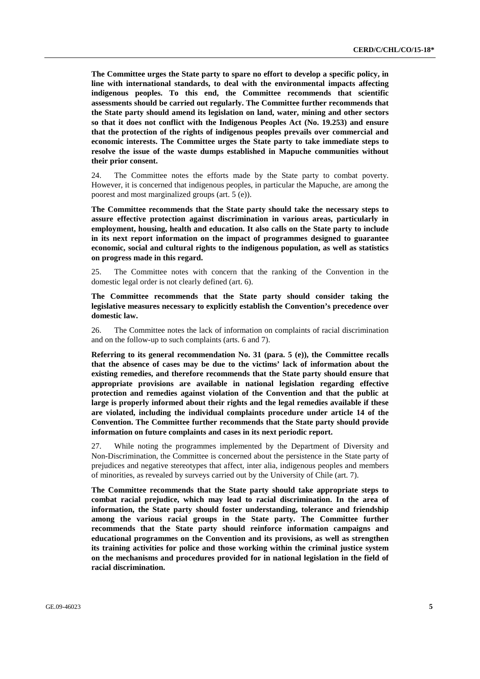**The Committee urges the State party to spare no effort to develop a specific policy, in line with international standards, to deal with the environmental impacts affecting indigenous peoples. To this end, the Committee recommends that scientific assessments should be carried out regularly. The Committee further recommends that the State party should amend its legislation on land, water, mining and other sectors so that it does not conflict with the Indigenous Peoples Act (No. 19.253) and ensure that the protection of the rights of indigenous peoples prevails over commercial and economic interests. The Committee urges the State party to take immediate steps to resolve the issue of the waste dumps established in Mapuche communities without their prior consent.** 

24. The Committee notes the efforts made by the State party to combat poverty. However, it is concerned that indigenous peoples, in particular the Mapuche, are among the poorest and most marginalized groups (art. 5 (e)).

**The Committee recommends that the State party should take the necessary steps to assure effective protection against discrimination in various areas, particularly in employment, housing, health and education. It also calls on the State party to include in its next report information on the impact of programmes designed to guarantee economic, social and cultural rights to the indigenous population, as well as statistics on progress made in this regard.** 

25. The Committee notes with concern that the ranking of the Convention in the domestic legal order is not clearly defined (art. 6).

**The Committee recommends that the State party should consider taking the legislative measures necessary to explicitly establish the Convention's precedence over domestic law.** 

26. The Committee notes the lack of information on complaints of racial discrimination and on the follow-up to such complaints (arts. 6 and 7).

**Referring to its general recommendation No. 31 (para. 5 (e)), the Committee recalls that the absence of cases may be due to the victims' lack of information about the existing remedies, and therefore recommends that the State party should ensure that appropriate provisions are available in national legislation regarding effective protection and remedies against violation of the Convention and that the public at large is properly informed about their rights and the legal remedies available if these are violated, including the individual complaints procedure under article 14 of the Convention. The Committee further recommends that the State party should provide information on future complaints and cases in its next periodic report.** 

27. While noting the programmes implemented by the Department of Diversity and Non-Discrimination, the Committee is concerned about the persistence in the State party of prejudices and negative stereotypes that affect, inter alia, indigenous peoples and members of minorities, as revealed by surveys carried out by the University of Chile (art. 7).

**The Committee recommends that the State party should take appropriate steps to combat racial prejudice, which may lead to racial discrimination. In the area of information, the State party should foster understanding, tolerance and friendship among the various racial groups in the State party. The Committee further recommends that the State party should reinforce information campaigns and educational programmes on the Convention and its provisions, as well as strengthen its training activities for police and those working within the criminal justice system on the mechanisms and procedures provided for in national legislation in the field of racial discrimination.**